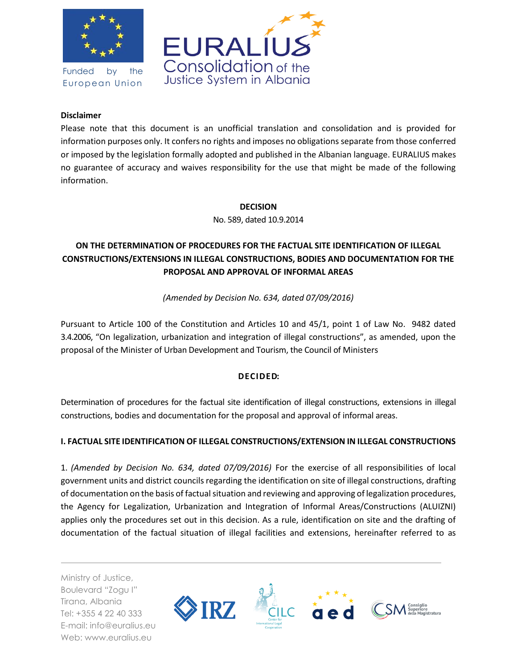

Funded by the European Union



## **Disclaimer**

Please note that this document is an unofficial translation and consolidation and is provided for information purposes only. It confers no rights and imposes no obligations separate from those conferred or imposed by the legislation formally adopted and published in the Albanian language. EURALIUS makes no guarantee of accuracy and waives responsibility for the use that might be made of the following information.

## **DECISION**

No. 589, dated 10.9.2014

# **ON THE DETERMINATION OF PROCEDURES FOR THE FACTUAL SITE IDENTIFICATION OF ILLEGAL CONSTRUCTIONS/EXTENSIONS IN ILLEGAL CONSTRUCTIONS, BODIES AND DOCUMENTATION FOR THE PROPOSAL AND APPROVAL OF INFORMAL AREAS**

*(Amended by Decision No. 634, dated 07/09/2016)*

Pursuant to Article 100 of the Constitution and Articles 10 and 45/1, point 1 of Law No. 9482 dated 3.4.2006, "On legalization, urbanization and integration of illegal constructions", as amended, upon the proposal of the Minister of Urban Development and Tourism, the Council of Ministers

# **DECIDED:**

Determination of procedures for the factual site identification of illegal constructions, extensions in illegal constructions, bodies and documentation for the proposal and approval of informal areas.

# **I. FACTUAL SITE IDENTIFICATION OF ILLEGAL CONSTRUCTIONS/EXTENSION IN ILLEGAL CONSTRUCTIONS**

1. *(Amended by Decision No. 634, dated 07/09/2016)* For the exercise of all responsibilities of local government units and district councils regarding the identification on site of illegal constructions, drafting of documentation on the basis of factual situation and reviewing and approving of legalization procedures, the Agency for Legalization, Urbanization and Integration of Informal Areas/Constructions (ALUIZNI) applies only the procedures set out in this decision. As a rule, identification on site and the drafting of documentation of the factual situation of illegal facilities and extensions, hereinafter referred to as

Ministry of Justice, Boulevard "Zogu I" Tirana, Albania Tel: +355 4 22 40 333 E-mail: info@euralius.eu Web: www.euralius.eu

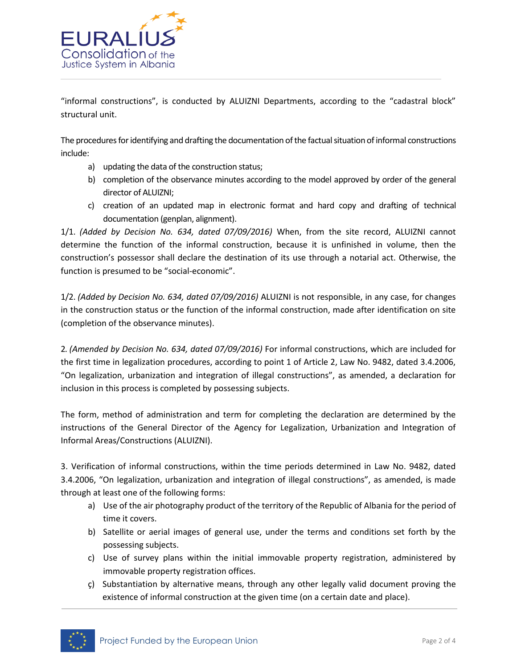

"informal constructions", is conducted by ALUIZNI Departments, according to the "cadastral block" structural unit.

The procedures for identifying and drafting the documentation of the factual situation of informal constructions include:

- a) updating the data of the construction status;
- b) completion of the observance minutes according to the model approved by order of the general director of ALUIZNI;
- c) creation of an updated map in electronic format and hard copy and drafting of technical documentation (genplan, alignment).

1/1. *(Added by Decision No. 634, dated 07/09/2016)* When, from the site record, ALUIZNI cannot determine the function of the informal construction, because it is unfinished in volume, then the construction's possessor shall declare the destination of its use through a notarial act. Otherwise, the function is presumed to be "social-economic".

1/2. *(Added by Decision No. 634, dated 07/09/2016)* ALUIZNI is not responsible, in any case, for changes in the construction status or the function of the informal construction, made after identification on site (completion of the observance minutes).

2. *(Amended by Decision No. 634, dated 07/09/2016)* For informal constructions, which are included for the first time in legalization procedures, according to point 1 of Article 2, Law No. 9482, dated 3.4.2006, "On legalization, urbanization and integration of illegal constructions", as amended, a declaration for inclusion in this process is completed by possessing subjects.

The form, method of administration and term for completing the declaration are determined by the instructions of the General Director of the Agency for Legalization, Urbanization and Integration of Informal Areas/Constructions (ALUIZNI).

3. Verification of informal constructions, within the time periods determined in Law No. 9482, dated 3.4.2006, "On legalization, urbanization and integration of illegal constructions", as amended, is made through at least one of the following forms:

- a) Use of the air photography product of the territory of the Republic of Albania for the period of time it covers.
- b) Satellite or aerial images of general use, under the terms and conditions set forth by the possessing subjects.
- c) Use of survey plans within the initial immovable property registration, administered by immovable property registration offices.
- ç) Substantiation by alternative means, through any other legally valid document proving the existence of informal construction at the given time (on a certain date and place).

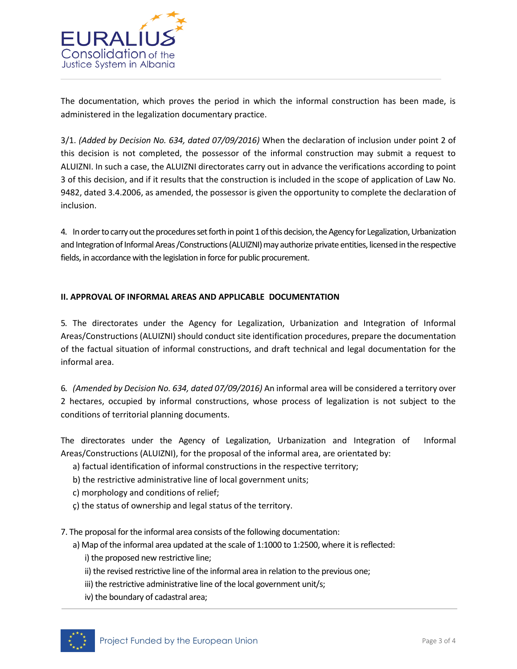

The documentation, which proves the period in which the informal construction has been made, is administered in the legalization documentary practice.

3/1. *(Added by Decision No. 634, dated 07/09/2016)* When the declaration of inclusion under point 2 of this decision is not completed, the possessor of the informal construction may submit a request to ALUIZNI. In such a case, the ALUIZNI directorates carry out in advance the verifications according to point 3 of this decision, and if it results that the construction is included in the scope of application of Law No. 9482, dated 3.4.2006, as amended, the possessor is given the opportunity to complete the declaration of inclusion.

4. In order to carry out the procedures set forth in point 1 of this decision, the Agency for Legalization, Urbanization and Integration of Informal Areas /Constructions (ALUIZNI) may authorize private entities, licensed in the respective fields, in accordance with the legislation in force for public procurement.

## **II. APPROVAL OF INFORMAL AREAS AND APPLICABLE DOCUMENTATION**

5. The directorates under the Agency for Legalization, Urbanization and Integration of Informal Areas/Constructions (ALUIZNI) should conduct site identification procedures, prepare the documentation of the factual situation of informal constructions, and draft technical and legal documentation for the informal area.

6. *(Amended by Decision No. 634, dated 07/09/2016)* An informal area will be considered a territory over 2 hectares, occupied by informal constructions, whose process of legalization is not subject to the conditions of territorial planning documents.

The directorates under the Agency of Legalization, Urbanization and Integration of Informal Areas/Constructions (ALUIZNI), for the proposal of the informal area, are orientated by:

- a) factual identification of informal constructions in the respective territory;
- b) the restrictive administrative line of local government units;
- c) morphology and conditions of relief;
- ç) the status of ownership and legal status of the territory.
- 7. The proposal for the informal area consists of the following documentation:
	- a) Map of the informal area updated at the scale of 1:1000 to 1:2500, where it is reflected:
		- i) the proposed new restrictive line;
		- ii) the revised restrictive line of the informal area in relation to the previous one;
		- iii) the restrictive administrative line of the local government unit/s;
		- iv) the boundary of cadastral area;